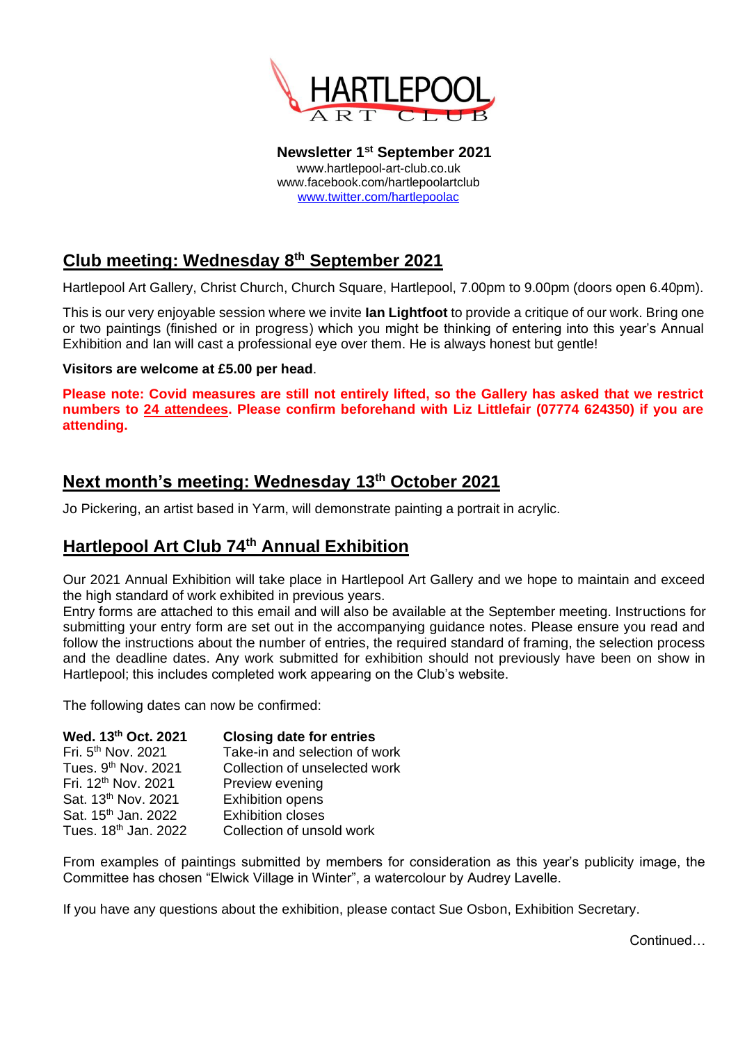

**Newsletter 1 st September 2021** www.hartlepool-art-club.co.uk www.facebook.com/hartlepoolartclub [www.twitter.com/hartlepoolac](http://www.twitter.com/hartlepoolac)

# **Club meeting: Wednesday 8 th September 2021**

Hartlepool Art Gallery, Christ Church, Church Square, Hartlepool, 7.00pm to 9.00pm (doors open 6.40pm).

This is our very enjoyable session where we invite **Ian Lightfoot** to provide a critique of our work. Bring one or two paintings (finished or in progress) which you might be thinking of entering into this year's Annual Exhibition and Ian will cast a professional eye over them. He is always honest but gentle!

#### **Visitors are welcome at £5.00 per head**.

**Please note: Covid measures are still not entirely lifted, so the Gallery has asked that we restrict numbers to 24 attendees. Please confirm beforehand with Liz Littlefair (07774 624350) if you are attending.**

## **Next month's meeting: Wednesday 13th October 2021**

Jo Pickering, an artist based in Yarm, will demonstrate painting a portrait in acrylic.

## **Hartlepool Art Club 74th Annual Exhibition**

Our 2021 Annual Exhibition will take place in Hartlepool Art Gallery and we hope to maintain and exceed the high standard of work exhibited in previous years.

Entry forms are attached to this email and will also be available at the September meeting. Instructions for submitting your entry form are set out in the accompanying guidance notes. Please ensure you read and follow the instructions about the number of entries, the required standard of framing, the selection process and the deadline dates. Any work submitted for exhibition should not previously have been on show in Hartlepool; this includes completed work appearing on the Club's website.

The following dates can now be confirmed:

| Wed. 13th Oct. 2021              | <b>Closing date for entries</b> |
|----------------------------------|---------------------------------|
| Fri. 5 <sup>th</sup> Nov. 2021   | Take-in and selection of work   |
| Tues. 9 <sup>th</sup> Nov. 2021  | Collection of unselected work   |
| Fri. 12 <sup>th</sup> Nov. 2021  | Preview evening                 |
| Sat. 13 <sup>th</sup> Nov. 2021  | <b>Exhibition opens</b>         |
| Sat. 15 <sup>th</sup> Jan. 2022  | <b>Exhibition closes</b>        |
| Tues. 18 <sup>th</sup> Jan. 2022 | Collection of unsold work       |
|                                  |                                 |

From examples of paintings submitted by members for consideration as this year's publicity image, the Committee has chosen "Elwick Village in Winter", a watercolour by Audrey Lavelle.

If you have any questions about the exhibition, please contact Sue Osbon, Exhibition Secretary.

Continued…